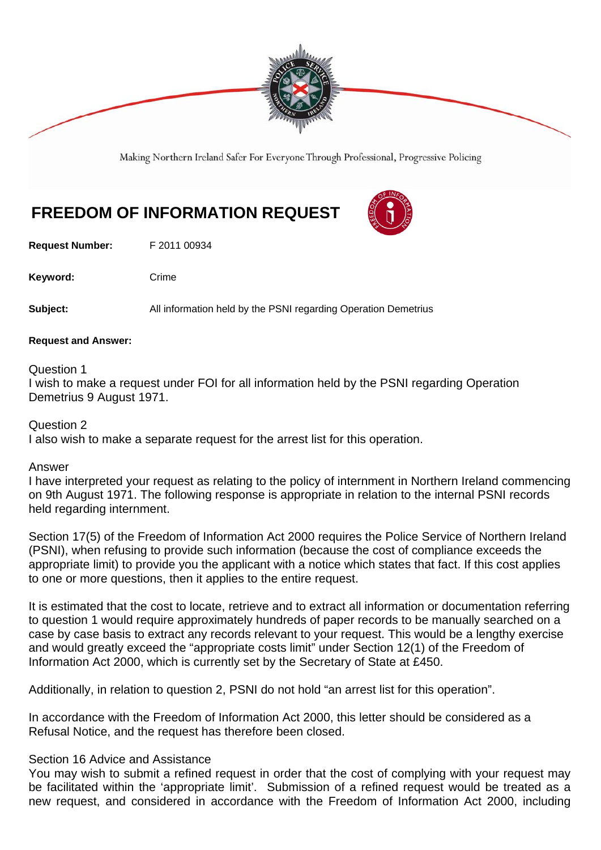

Making Northern Ireland Safer For Everyone Through Professional, Progressive Policing

# **FREEDOM OF INFORMATION REQUEST**

**Request Number:** F 2011 00934

Keyword: Crime

**Subject:** All information held by the PSNI regarding Operation Demetrius

#### **Request and Answer:**

Question 1

I wish to make a request under FOI for all information held by the PSNI regarding Operation Demetrius 9 August 1971.

# Question 2

I also wish to make a separate request for the arrest list for this operation.

## Answer

I have interpreted your request as relating to the policy of internment in Northern Ireland commencing on 9th August 1971. The following response is appropriate in relation to the internal PSNI records held regarding internment.

Section 17(5) of the Freedom of Information Act 2000 requires the Police Service of Northern Ireland (PSNI), when refusing to provide such information (because the cost of compliance exceeds the appropriate limit) to provide you the applicant with a notice which states that fact. If this cost applies to one or more questions, then it applies to the entire request.

It is estimated that the cost to locate, retrieve and to extract all information or documentation referring to question 1 would require approximately hundreds of paper records to be manually searched on a case by case basis to extract any records relevant to your request. This would be a lengthy exercise and would greatly exceed the "appropriate costs limit" under Section 12(1) of the Freedom of Information Act 2000, which is currently set by the Secretary of State at £450.

Additionally, in relation to question 2, PSNI do not hold "an arrest list for this operation".

In accordance with the Freedom of Information Act 2000, this letter should be considered as a Refusal Notice, and the request has therefore been closed.

## Section 16 Advice and Assistance

You may wish to submit a refined request in order that the cost of complying with your request may be facilitated within the 'appropriate limit'. Submission of a refined request would be treated as a new request, and considered in accordance with the Freedom of Information Act 2000, including